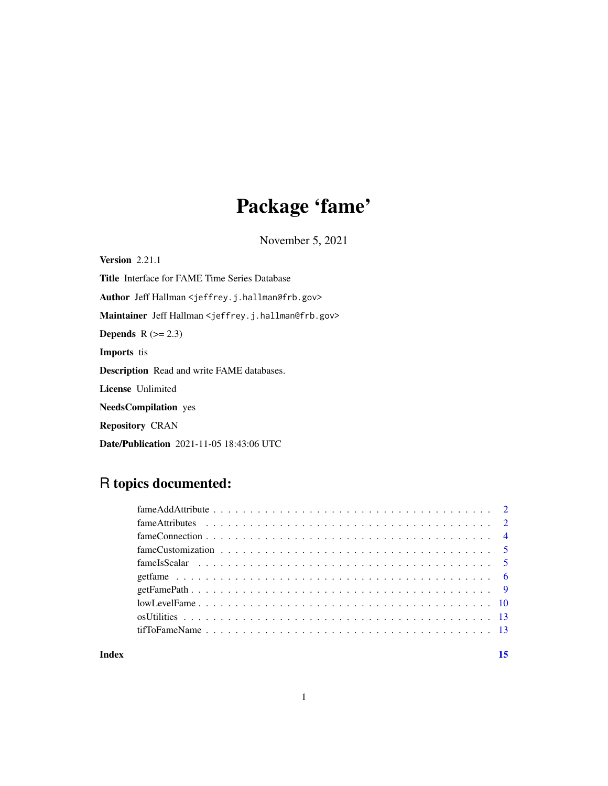# Package 'fame'

November 5, 2021

<span id="page-0-0"></span>Version 2.21.1 Title Interface for FAME Time Series Database Author Jeff Hallman <jeffrey.j.hallman@frb.gov> Maintainer Jeff Hallman <jeffrey.j.hallman@frb.gov> **Depends**  $R$  ( $>= 2.3$ ) Imports tis Description Read and write FAME databases. License Unlimited NeedsCompilation yes Repository CRAN Date/Publication 2021-11-05 18:43:06 UTC

# R topics documented:

| $fameAddAttribute \dots \dots \dots \dots \dots \dots \dots \dots \dots \dots \dots \dots \dots \dots \dots \dots \dots \dots$ |  |
|--------------------------------------------------------------------------------------------------------------------------------|--|
|                                                                                                                                |  |
|                                                                                                                                |  |
|                                                                                                                                |  |
|                                                                                                                                |  |
|                                                                                                                                |  |
|                                                                                                                                |  |
|                                                                                                                                |  |
|                                                                                                                                |  |
|                                                                                                                                |  |
|                                                                                                                                |  |

#### **Index** [15](#page-14-0)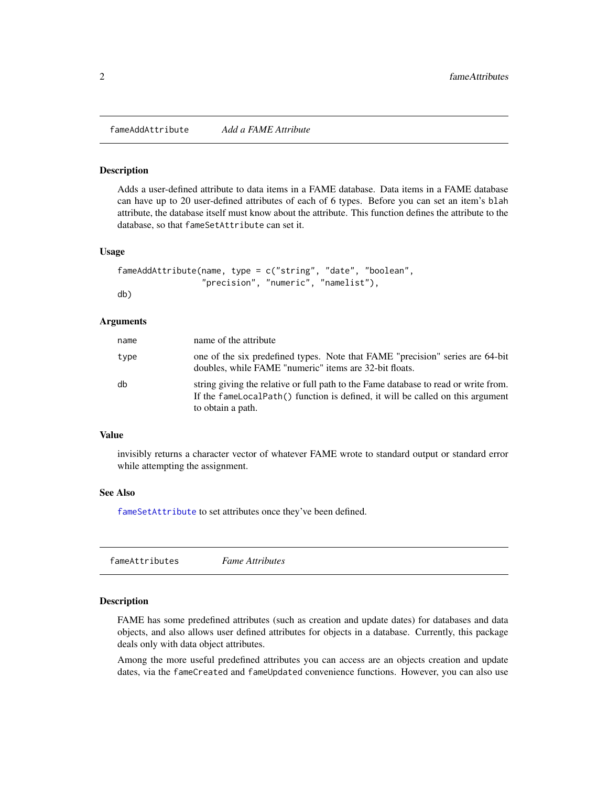<span id="page-1-0"></span>fameAddAttribute *Add a FAME Attribute*

#### Description

Adds a user-defined attribute to data items in a FAME database. Data items in a FAME database can have up to 20 user-defined attributes of each of 6 types. Before you can set an item's blah attribute, the database itself must know about the attribute. This function defines the attribute to the database, so that fameSetAttribute can set it.

#### Usage

```
fameAddAttribute(name, type = c("string", "date", "boolean",
                 "precision", "numeric", "namelist"),
db)
```
#### Arguments

| name | name of the attribute                                                                                                                                                                      |
|------|--------------------------------------------------------------------------------------------------------------------------------------------------------------------------------------------|
| type | one of the six predefined types. Note that FAME "precision" series are 64-bit<br>doubles, while FAME "numeric" items are 32-bit floats.                                                    |
| db   | string giving the relative or full path to the Fame database to read or write from.<br>If the fameLocalPath() function is defined, it will be called on this argument<br>to obtain a path. |

#### Value

invisibly returns a character vector of whatever FAME wrote to standard output or standard error while attempting the assignment.

# See Also

[fameSetAttribute](#page-1-1) to set attributes once they've been defined.

|--|--|

#### <span id="page-1-1"></span>**Description**

FAME has some predefined attributes (such as creation and update dates) for databases and data objects, and also allows user defined attributes for objects in a database. Currently, this package deals only with data object attributes.

Among the more useful predefined attributes you can access are an objects creation and update dates, via the fameCreated and fameUpdated convenience functions. However, you can also use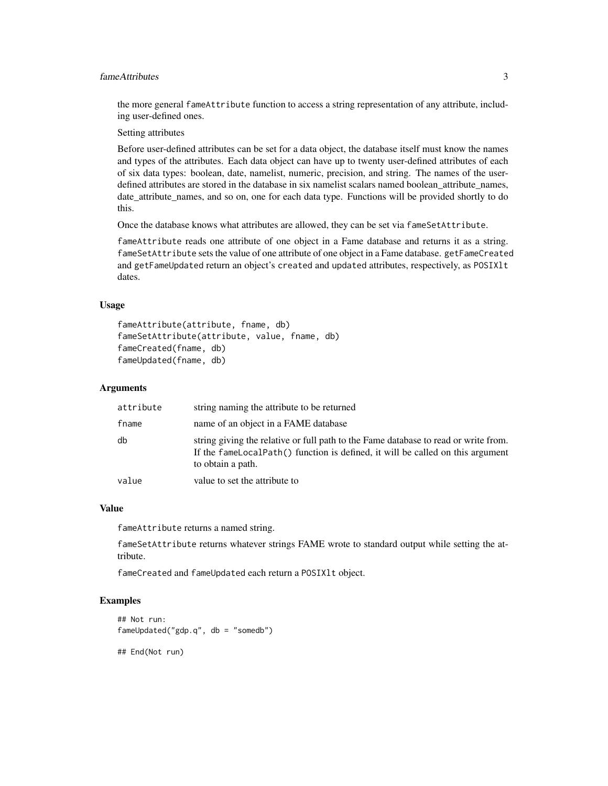# fameAttributes 3

the more general fameAttribute function to access a string representation of any attribute, including user-defined ones.

Setting attributes

Before user-defined attributes can be set for a data object, the database itself must know the names and types of the attributes. Each data object can have up to twenty user-defined attributes of each of six data types: boolean, date, namelist, numeric, precision, and string. The names of the userdefined attributes are stored in the database in six namelist scalars named boolean\_attribute\_names, date\_attribute\_names, and so on, one for each data type. Functions will be provided shortly to do this.

Once the database knows what attributes are allowed, they can be set via fameSetAttribute.

fameAttribute reads one attribute of one object in a Fame database and returns it as a string. fameSetAttribute sets the value of one attribute of one object in a Fame database. getFameCreated and getFameUpdated return an object's created and updated attributes, respectively, as POSIXlt dates.

# Usage

```
fameAttribute(attribute, fname, db)
fameSetAttribute(attribute, value, fname, db)
fameCreated(fname, db)
fameUpdated(fname, db)
```
# Arguments

| attribute | string naming the attribute to be returned                                                                                                                                                 |
|-----------|--------------------------------------------------------------------------------------------------------------------------------------------------------------------------------------------|
| fname     | name of an object in a FAME database                                                                                                                                                       |
| db        | string giving the relative or full path to the Fame database to read or write from.<br>If the fameLocalPath() function is defined, it will be called on this argument<br>to obtain a path. |
| value     | value to set the attribute to                                                                                                                                                              |

#### Value

fameAttribute returns a named string.

fameSetAttribute returns whatever strings FAME wrote to standard output while setting the attribute.

fameCreated and fameUpdated each return a POSIXlt object.

#### Examples

```
## Not run:
fameUpdated("gdp.q", db = "somedb")
```
## End(Not run)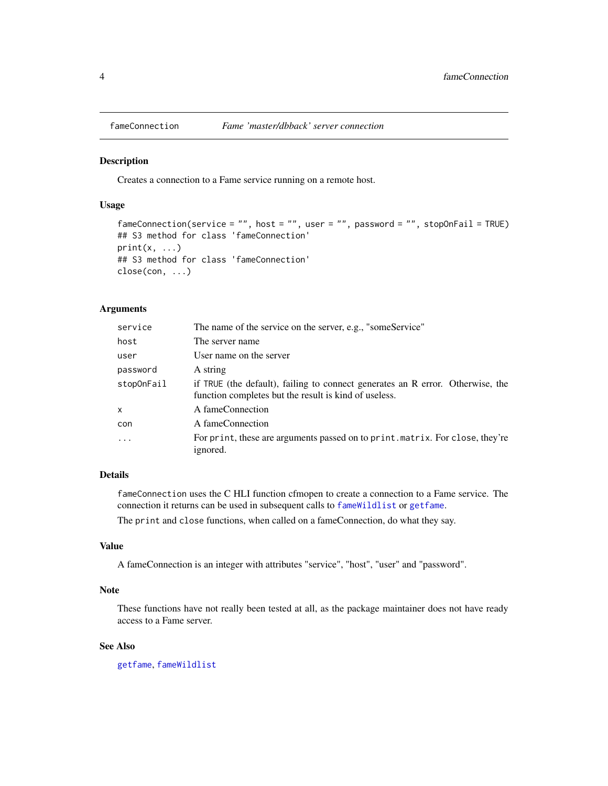<span id="page-3-1"></span><span id="page-3-0"></span>

#### Description

Creates a connection to a Fame service running on a remote host.

#### Usage

```
fameConnection(service = "", host = "", user = "", password = "", stopOnFail = TRUE)
## S3 method for class 'fameConnection'
print(x, \ldots)## S3 method for class 'fameConnection'
close(con, ...)
```
#### Arguments

| service    | The name of the service on the server, e.g., "someService"                                                                              |
|------------|-----------------------------------------------------------------------------------------------------------------------------------------|
| host       | The server name                                                                                                                         |
| user       | User name on the server                                                                                                                 |
| password   | A string                                                                                                                                |
| stopOnFail | if TRUE (the default), failing to connect generates an R error. Otherwise, the<br>function completes but the result is kind of useless. |
| X          | A fameConnection                                                                                                                        |
| con        | A fameConnection                                                                                                                        |
| $\ddots$ . | For print, these are arguments passed on to print. matrix. For close, they're<br>ignored.                                               |

# Details

fameConnection uses the C HLI function cfmopen to create a connection to a Fame service. The connection it returns can be used in subsequent calls to [fameWildlist](#page-5-1) or [getfame](#page-5-2).

The print and close functions, when called on a fameConnection, do what they say.

# Value

A fameConnection is an integer with attributes "service", "host", "user" and "password".

# Note

These functions have not really been tested at all, as the package maintainer does not have ready access to a Fame server.

# See Also

[getfame](#page-5-2), [fameWildlist](#page-5-1)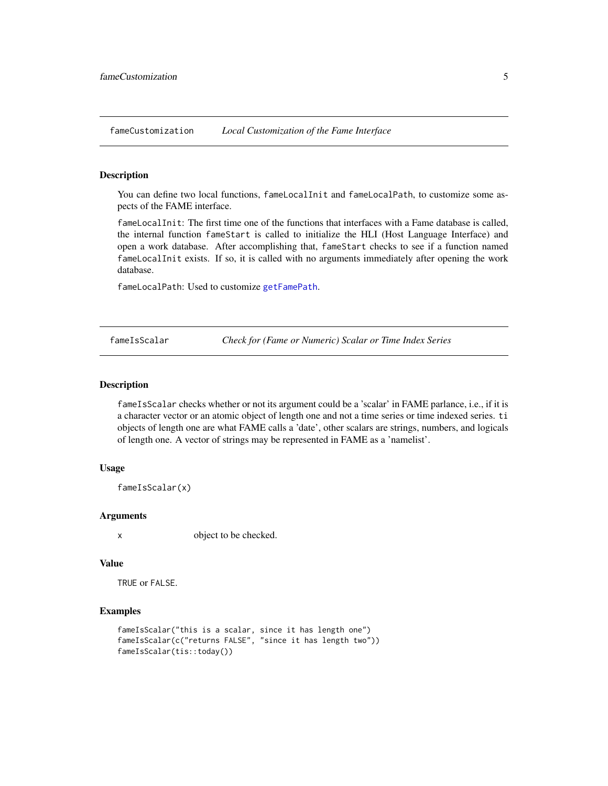<span id="page-4-1"></span><span id="page-4-0"></span>fameCustomization *Local Customization of the Fame Interface*

#### Description

You can define two local functions, fameLocalInit and fameLocalPath, to customize some aspects of the FAME interface.

fameLocalInit: The first time one of the functions that interfaces with a Fame database is called, the internal function fameStart is called to initialize the HLI (Host Language Interface) and open a work database. After accomplishing that, fameStart checks to see if a function named fameLocalInit exists. If so, it is called with no arguments immediately after opening the work database.

fameLocalPath: Used to customize [getFamePath](#page-8-1).

fameIsScalar *Check for (Fame or Numeric) Scalar or Time Index Series*

#### Description

fameIsScalar checks whether or not its argument could be a 'scalar' in FAME parlance, i.e., if it is a character vector or an atomic object of length one and not a time series or time indexed series. ti objects of length one are what FAME calls a 'date', other scalars are strings, numbers, and logicals of length one. A vector of strings may be represented in FAME as a 'namelist'.

#### Usage

fameIsScalar(x)

#### Arguments

x object to be checked.

#### Value

TRUE or FALSE.

# Examples

```
fameIsScalar("this is a scalar, since it has length one")
fameIsScalar(c("returns FALSE", "since it has length two"))
fameIsScalar(tis::today())
```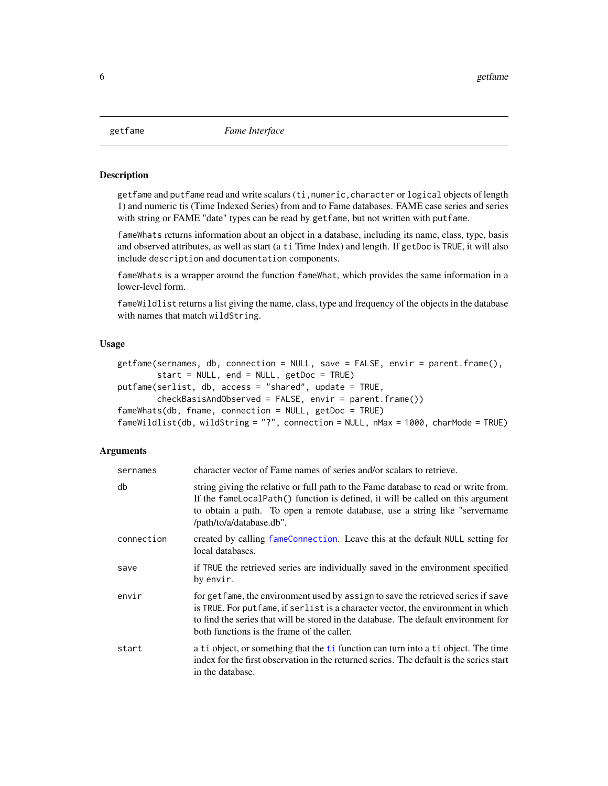<span id="page-5-2"></span><span id="page-5-0"></span>

#### <span id="page-5-1"></span>Description

getfame and putfame read and write scalars (ti,numeric,character or logical objects of length 1) and numeric tis (Time Indexed Series) from and to Fame databases. FAME case series and series with string or FAME "date" types can be read by getfame, but not written with putfame.

fameWhats returns information about an object in a database, including its name, class, type, basis and observed attributes, as well as start (a ti Time Index) and length. If getDoc is TRUE, it will also include description and documentation components.

fameWhats is a wrapper around the function fameWhat, which provides the same information in a lower-level form.

fameWildlist returns a list giving the name, class, type and frequency of the objects in the database with names that match wildString.

# Usage

```
getfame(sernames, db, connection = NULL, save = FALSE, envir = parent.frame(),
        start = NULL, end = NULL, getDoc = TRUE)
putfame(serlist, db, access = "shared", update = TRUE,
        checkBasisAndObserved = FALSE, envir = parent.frame())
fameWhats(db, fname, connection = NULL, getDoc = TRUE)fameWildlist(db, wildString = "?", connection = NULL, nMax = 1000, charMode = TRUE)
```
#### **Arguments**

| sernames   | character vector of Fame names of series and/or scalars to retrieve.                                                                                                                                                                                                                                        |
|------------|-------------------------------------------------------------------------------------------------------------------------------------------------------------------------------------------------------------------------------------------------------------------------------------------------------------|
| db         | string giving the relative or full path to the Fame database to read or write from.<br>If the fameLocalPath() function is defined, it will be called on this argument<br>to obtain a path. To open a remote database, use a string like "servername"<br>/path/to/a/database.db".                            |
| connection | created by calling fameConnection. Leave this at the default NULL setting for<br>local databases.                                                                                                                                                                                                           |
| save       | if TRUE the retrieved series are individually saved in the environment specified<br>by envir.                                                                                                                                                                                                               |
| envir      | for get fame, the environment used by assign to save the retrieved series if save<br>is TRUE. For put fame, if serlist is a character vector, the environment in which<br>to find the series that will be stored in the database. The default environment for<br>both functions is the frame of the caller. |
| start      | a ti object, or something that the ti function can turn into a ti object. The time<br>index for the first observation in the returned series. The default is the series start<br>in the database.                                                                                                           |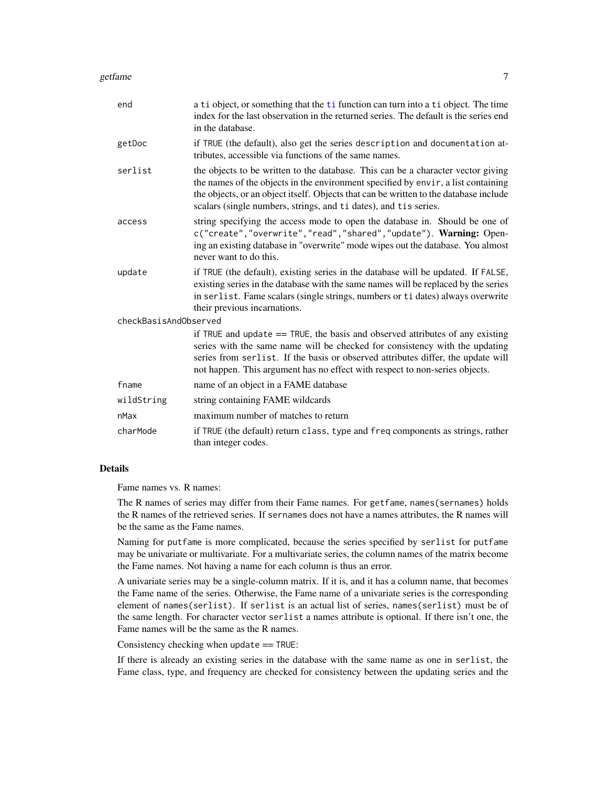#### getfame **7**

| end                   | a ti object, or something that the ti function can turn into a ti object. The time<br>index for the last observation in the returned series. The default is the series end<br>in the database.                                                                                                                                     |
|-----------------------|------------------------------------------------------------------------------------------------------------------------------------------------------------------------------------------------------------------------------------------------------------------------------------------------------------------------------------|
| getDoc                | if TRUE (the default), also get the series description and documentation at-<br>tributes, accessible via functions of the same names.                                                                                                                                                                                              |
| serlist               | the objects to be written to the database. This can be a character vector giving<br>the names of the objects in the environment specified by envir, a list containing<br>the objects, or an object itself. Objects that can be written to the database include<br>scalars (single numbers, strings, and ti dates), and tis series. |
| access                | string specifying the access mode to open the database in. Should be one of<br>c("create","overwrite","read","shared","update"). Warning: Open-<br>ing an existing database in "overwrite" mode wipes out the database. You almost<br>never want to do this.                                                                       |
| update                | if TRUE (the default), existing series in the database will be updated. If FALSE,<br>existing series in the database with the same names will be replaced by the series<br>in serlist. Fame scalars (single strings, numbers or ti dates) always overwrite<br>their previous incarnations.                                         |
| checkBasisAndObserved |                                                                                                                                                                                                                                                                                                                                    |
|                       | if TRUE and update $==$ TRUE, the basis and observed attributes of any existing<br>series with the same name will be checked for consistency with the updating<br>series from serlist. If the basis or observed attributes differ, the update will<br>not happen. This argument has no effect with respect to non-series objects.  |
| fname                 | name of an object in a FAME database                                                                                                                                                                                                                                                                                               |
| wildString            | string containing FAME wildcards                                                                                                                                                                                                                                                                                                   |
| nMax                  | maximum number of matches to return                                                                                                                                                                                                                                                                                                |
| charMode              | if TRUE (the default) return class, type and freq components as strings, rather<br>than integer codes.                                                                                                                                                                                                                             |

# Details

Fame names vs. R names:

The R names of series may differ from their Fame names. For getfame, names(sernames) holds the R names of the retrieved series. If sernames does not have a names attributes, the R names will be the same as the Fame names.

Naming for putfame is more complicated, because the series specified by serlist for putfame may be univariate or multivariate. For a multivariate series, the column names of the matrix become the Fame names. Not having a name for each column is thus an error.

A univariate series may be a single-column matrix. If it is, and it has a column name, that becomes the Fame name of the series. Otherwise, the Fame name of a univariate series is the corresponding element of names(serlist). If serlist is an actual list of series, names(serlist) must be of the same length. For character vector serlist a names attribute is optional. If there isn't one, the Fame names will be the same as the R names.

Consistency checking when update == TRUE:

If there is already an existing series in the database with the same name as one in serlist, the Fame class, type, and frequency are checked for consistency between the updating series and the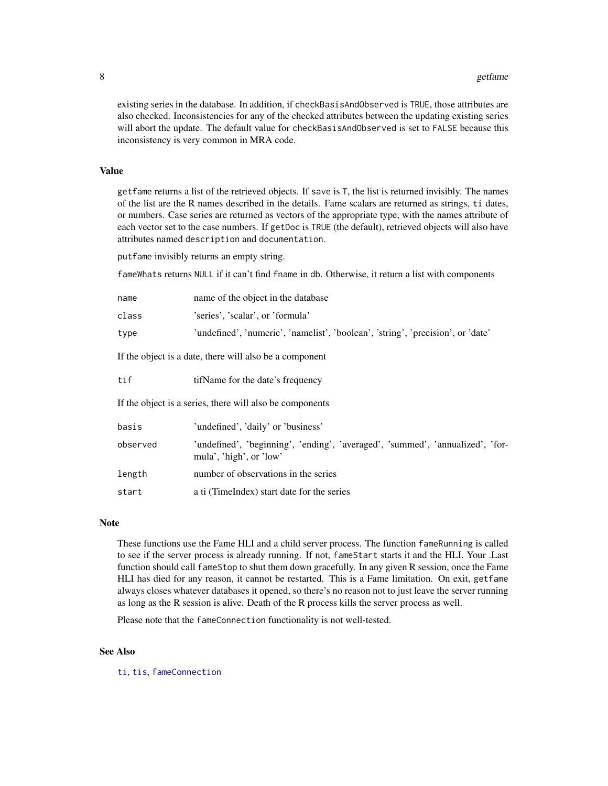<span id="page-7-0"></span>existing series in the database. In addition, if checkBasisAndObserved is TRUE, those attributes are also checked. Inconsistencies for any of the checked attributes between the updating existing series will abort the update. The default value for checkBasisAndObserved is set to FALSE because this inconsistency is very common in MRA code.

# Value

getfame returns a list of the retrieved objects. If save is T, the list is returned invisibly. The names of the list are the R names described in the details. Fame scalars are returned as strings, ti dates, or numbers. Case series are returned as vectors of the appropriate type, with the names attribute of each vector set to the case numbers. If getDoc is TRUE (the default), retrieved objects will also have attributes named description and documentation.

putfame invisibly returns an empty string.

fameWhats returns NULL if it can't find fname in db. Otherwise, it return a list with components

| name                                                    | name of the object in the database                                              |  |
|---------------------------------------------------------|---------------------------------------------------------------------------------|--|
| class                                                   | 'series', 'scalar', or 'formula'                                                |  |
| type                                                    | 'undefined', 'numeric', 'namelist', 'boolean', 'string', 'precision', or 'date' |  |
| If the object is a date, there will also be a component |                                                                                 |  |
| tif                                                     | tifName for the date's frequency                                                |  |
|                                                         |                                                                                 |  |

If the object is a series, there will also be components

| basis    | 'undefined', 'daily' or 'business'                                                                       |
|----------|----------------------------------------------------------------------------------------------------------|
| observed | 'undefined', 'beginning', 'ending', 'averaged', 'summed', 'annualized', 'for-<br>mula', 'high', or 'low' |
| length   | number of observations in the series                                                                     |
| start    | a ti (TimeIndex) start date for the series                                                               |

#### Note

These functions use the Fame HLI and a child server process. The function fameRunning is called to see if the server process is already running. If not, fameStart starts it and the HLI. Your .Last function should call fameStop to shut them down gracefully. In any given R session, once the Fame HLI has died for any reason, it cannot be restarted. This is a Fame limitation. On exit, getfame always closes whatever databases it opened, so there's no reason not to just leave the server running as long as the R session is alive. Death of the R process kills the server process as well.

Please note that the fameConnection functionality is not well-tested.

#### See Also

[ti](#page-0-0), [tis](#page-0-0), [fameConnection](#page-3-1)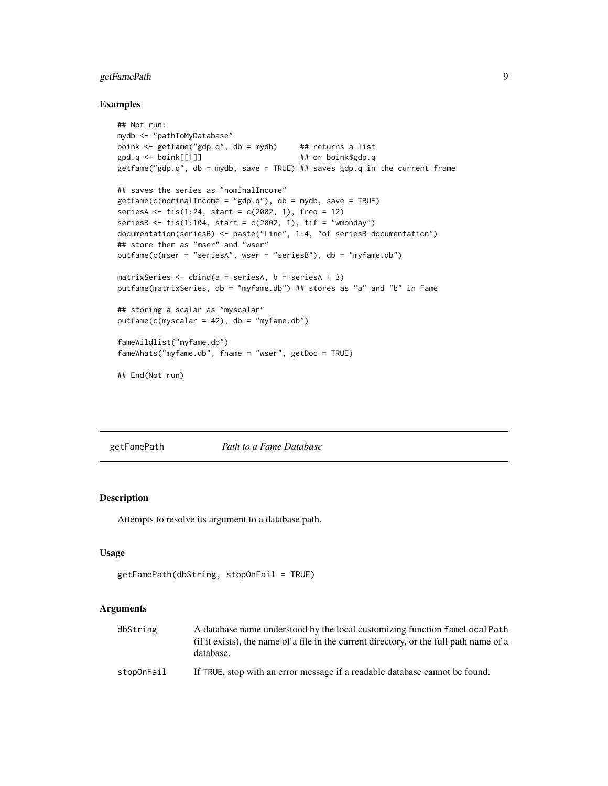# <span id="page-8-0"></span>getFamePath 9

#### Examples

```
## Not run:
mydb <- "pathToMyDatabase"
boink <- getfame("gdp.q", db = mydb) ## returns a list
gpd.q <- boink[[1]] ## or boink$gdp.q
getfame("gdp.q", db = mydb, save = TRUE) ## saves gdp.q in the current frame
## saves the series as "nominalIncome"
getfame(c(nominalIncome = "gdp.q"), db = mydb, save = TRUE)seriesA <- tis(1:24, start = c(2002, 1), freq = 12)
seriesB \le tis(1:104, start = c(2002, 1), tif = "wmonday")
documentation(seriesB) <- paste("Line", 1:4, "of seriesB documentation")
## store them as "mser" and "wser"
putfame(c(mser = "seriesA", wser = "seriesB"), db = "myfame.db")
matrixSeries \le cbind(a = seriesA, b = seriesA + 3)
putfame(matrixSeries, db = "myfame.db") ## stores as "a" and "b" in Fame
## storing a scalar as "myscalar"
putfame(c(myscalar = 42), db = "myfame(db")fameWildlist("myfame.db")
fameWhats("myfame.db", fname = "wser", getDoc = TRUE)
## End(Not run)
```
<span id="page-8-1"></span>getFamePath *Path to a Fame Database*

# **Description**

Attempts to resolve its argument to a database path.

#### Usage

```
getFamePath(dbString, stopOnFail = TRUE)
```
#### Arguments

| dbString   | A database name understood by the local customizing function fame Local Path                         |
|------------|------------------------------------------------------------------------------------------------------|
|            | (if it exists), the name of a file in the current directory, or the full path name of a<br>database. |
| stopOnFail | If TRUE, stop with an error message if a readable database cannot be found.                          |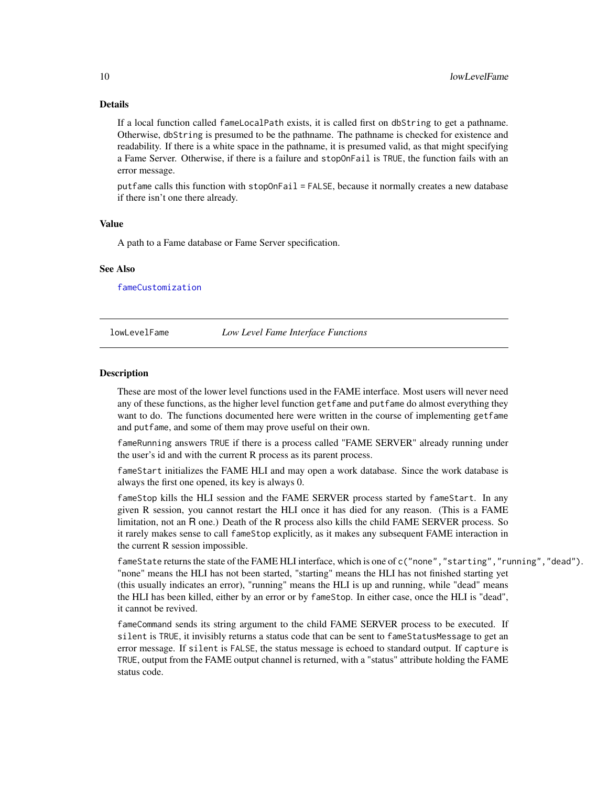# Details

If a local function called fameLocalPath exists, it is called first on dbString to get a pathname. Otherwise, dbString is presumed to be the pathname. The pathname is checked for existence and readability. If there is a white space in the pathname, it is presumed valid, as that might specifying a Fame Server. Otherwise, if there is a failure and stopOnFail is TRUE, the function fails with an error message.

putfame calls this function with stopOnFail = FALSE, because it normally creates a new database if there isn't one there already.

#### Value

A path to a Fame database or Fame Server specification.

#### See Also

[fameCustomization](#page-4-1)

#### lowLevelFame *Low Level Fame Interface Functions*

#### **Description**

These are most of the lower level functions used in the FAME interface. Most users will never need any of these functions, as the higher level function getfame and putfame do almost everything they want to do. The functions documented here were written in the course of implementing getfame and putfame, and some of them may prove useful on their own.

fameRunning answers TRUE if there is a process called "FAME SERVER" already running under the user's id and with the current R process as its parent process.

fameStart initializes the FAME HLI and may open a work database. Since the work database is always the first one opened, its key is always 0.

fameStop kills the HLI session and the FAME SERVER process started by fameStart. In any given R session, you cannot restart the HLI once it has died for any reason. (This is a FAME limitation, not an R one.) Death of the R process also kills the child FAME SERVER process. So it rarely makes sense to call fameStop explicitly, as it makes any subsequent FAME interaction in the current R session impossible.

fameState returns the state of the FAME HLI interface, which is one of c("none","starting","running","dead"). "none" means the HLI has not been started, "starting" means the HLI has not finished starting yet (this usually indicates an error), "running" means the HLI is up and running, while "dead" means the HLI has been killed, either by an error or by fameStop. In either case, once the HLI is "dead", it cannot be revived.

fameCommand sends its string argument to the child FAME SERVER process to be executed. If silent is TRUE, it invisibly returns a status code that can be sent to fameStatusMessage to get an error message. If silent is FALSE, the status message is echoed to standard output. If capture is TRUE, output from the FAME output channel is returned, with a "status" attribute holding the FAME status code.

<span id="page-9-0"></span>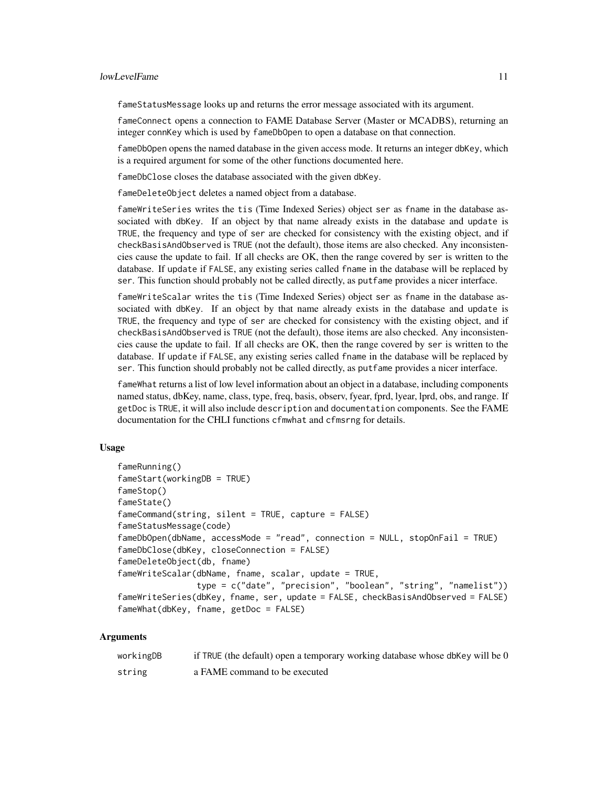#### lowLevelFame 11

fameStatusMessage looks up and returns the error message associated with its argument.

fameConnect opens a connection to FAME Database Server (Master or MCADBS), returning an integer connKey which is used by fameDbOpen to open a database on that connection.

fameDbOpen opens the named database in the given access mode. It returns an integer dbKey, which is a required argument for some of the other functions documented here.

fameDbClose closes the database associated with the given dbKey.

fameDeleteObject deletes a named object from a database.

fameWriteSeries writes the tis (Time Indexed Series) object ser as fname in the database associated with dbKey. If an object by that name already exists in the database and update is TRUE, the frequency and type of ser are checked for consistency with the existing object, and if checkBasisAndObserved is TRUE (not the default), those items are also checked. Any inconsistencies cause the update to fail. If all checks are OK, then the range covered by ser is written to the database. If update if FALSE, any existing series called fname in the database will be replaced by ser. This function should probably not be called directly, as putfame provides a nicer interface.

fameWriteScalar writes the tis (Time Indexed Series) object ser as fname in the database associated with dbKey. If an object by that name already exists in the database and update is TRUE, the frequency and type of ser are checked for consistency with the existing object, and if checkBasisAndObserved is TRUE (not the default), those items are also checked. Any inconsistencies cause the update to fail. If all checks are OK, then the range covered by ser is written to the database. If update if FALSE, any existing series called fname in the database will be replaced by ser. This function should probably not be called directly, as putfame provides a nicer interface.

fameWhat returns a list of low level information about an object in a database, including components named status, dbKey, name, class, type, freq, basis, observ, fyear, fprd, lyear, lprd, obs, and range. If getDoc is TRUE, it will also include description and documentation components. See the FAME documentation for the CHLI functions cfmwhat and cfmsrng for details.

#### Usage

```
fameRunning()
fameStart(workingDB = TRUE)
fameStop()
fameState()
fameCommand(string, silent = TRUE, capture = FALSE)
fameStatusMessage(code)
fameDbOpen(dbName, accessMode = "read", connection = NULL, stopOnFail = TRUE)
fameDbClose(dbKey, closeConnection = FALSE)
fameDeleteObject(db, fname)
fameWriteScalar(dbName, fname, scalar, update = TRUE,
                type = c("date", "precision", "boolean", "string", "namelist"))
fameWriteSeries(dbKey, fname, ser, update = FALSE, checkBasisAndObserved = FALSE)
fameWhat(dbKey, fname, getDoc = FALSE)
```
#### Arguments

| workingDB | if TRUE (the default) open a temporary working database whose dbKey will be 0 |
|-----------|-------------------------------------------------------------------------------|
| string    | a FAME command to be executed                                                 |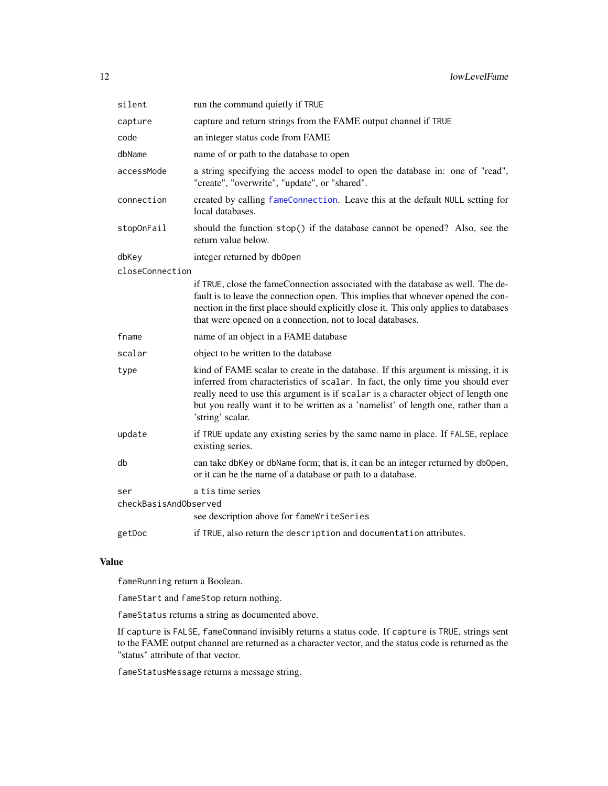<span id="page-11-0"></span>

| silent                | run the command quietly if TRUE                                                                                                                                                                                                                                                                                                                                    |
|-----------------------|--------------------------------------------------------------------------------------------------------------------------------------------------------------------------------------------------------------------------------------------------------------------------------------------------------------------------------------------------------------------|
| capture               | capture and return strings from the FAME output channel if TRUE                                                                                                                                                                                                                                                                                                    |
| code                  | an integer status code from FAME                                                                                                                                                                                                                                                                                                                                   |
| dbName                | name of or path to the database to open                                                                                                                                                                                                                                                                                                                            |
| accessMode            | a string specifying the access model to open the database in: one of "read",<br>"create", "overwrite", "update", or "shared".                                                                                                                                                                                                                                      |
| connection            | created by calling fameConnection. Leave this at the default NULL setting for<br>local databases.                                                                                                                                                                                                                                                                  |
| stopOnFail            | should the function stop() if the database cannot be opened? Also, see the<br>return value below.                                                                                                                                                                                                                                                                  |
| dbKey                 | integer returned by db0pen                                                                                                                                                                                                                                                                                                                                         |
| closeConnection       |                                                                                                                                                                                                                                                                                                                                                                    |
|                       | if TRUE, close the fameConnection associated with the database as well. The de-<br>fault is to leave the connection open. This implies that whoever opened the con-<br>nection in the first place should explicitly close it. This only applies to databases<br>that were opened on a connection, not to local databases.                                          |
| fname                 | name of an object in a FAME database                                                                                                                                                                                                                                                                                                                               |
| scalar                | object to be written to the database                                                                                                                                                                                                                                                                                                                               |
| type                  | kind of FAME scalar to create in the database. If this argument is missing, it is<br>inferred from characteristics of scalar. In fact, the only time you should ever<br>really need to use this argument is if scalar is a character object of length one<br>but you really want it to be written as a 'namelist' of length one, rather than a<br>'string' scalar. |
| update                | if TRUE update any existing series by the same name in place. If FALSE, replace<br>existing series.                                                                                                                                                                                                                                                                |
| db                    | can take dbKey or dbName form; that is, it can be an integer returned by dbOpen,<br>or it can be the name of a database or path to a database.                                                                                                                                                                                                                     |
| ser                   | a tis time series                                                                                                                                                                                                                                                                                                                                                  |
| checkBasisAndObserved |                                                                                                                                                                                                                                                                                                                                                                    |
|                       | see description above for fameWriteSeries                                                                                                                                                                                                                                                                                                                          |
| getDoc                | if TRUE, also return the description and documentation attributes.                                                                                                                                                                                                                                                                                                 |

# Value

fameRunning return a Boolean.

fameStart and fameStop return nothing.

fameStatus returns a string as documented above.

If capture is FALSE, fameCommand invisibly returns a status code. If capture is TRUE, strings sent to the FAME output channel are returned as a character vector, and the status code is returned as the "status" attribute of that vector.

fameStatusMessage returns a message string.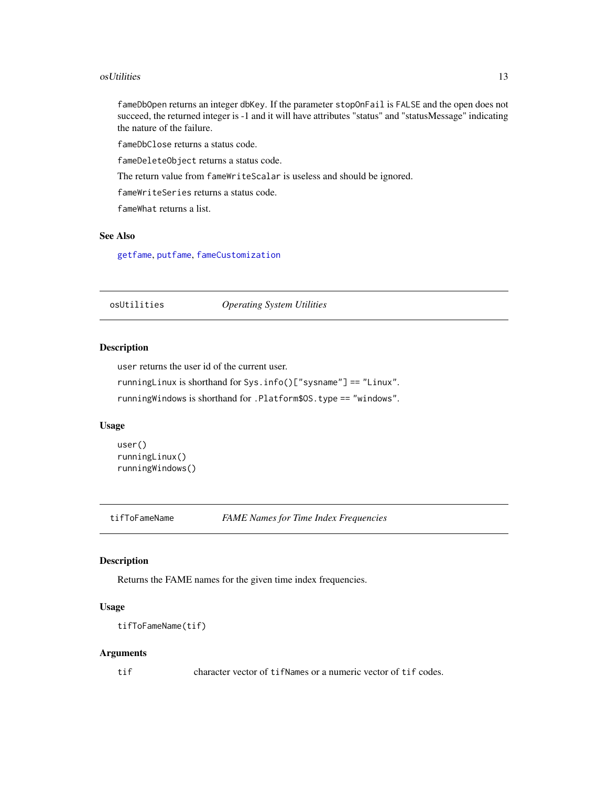#### <span id="page-12-0"></span>osUtilities **13**

fameDbOpen returns an integer dbKey. If the parameter stopOnFail is FALSE and the open does not succeed, the returned integer is -1 and it will have attributes "status" and "statusMessage" indicating the nature of the failure.

fameDbClose returns a status code.

fameDeleteObject returns a status code.

The return value from fameWriteScalar is useless and should be ignored.

fameWriteSeries returns a status code.

fameWhat returns a list.

# See Also

[getfame](#page-5-2), [putfame](#page-5-1), [fameCustomization](#page-4-1)

osUtilities *Operating System Utilities*

# Description

user returns the user id of the current user.

runningLinux is shorthand for Sys.info()["sysname"] == "Linux".

runningWindows is shorthand for .Platform\$OS.type == "windows".

# Usage

```
user()
runningLinux()
runningWindows()
```
tifToFameName *FAME Names for Time Index Frequencies*

#### Description

Returns the FAME names for the given time index frequencies.

#### Usage

```
tifToFameName(tif)
```
#### Arguments

tif character vector of tifNames or a numeric vector of tif codes.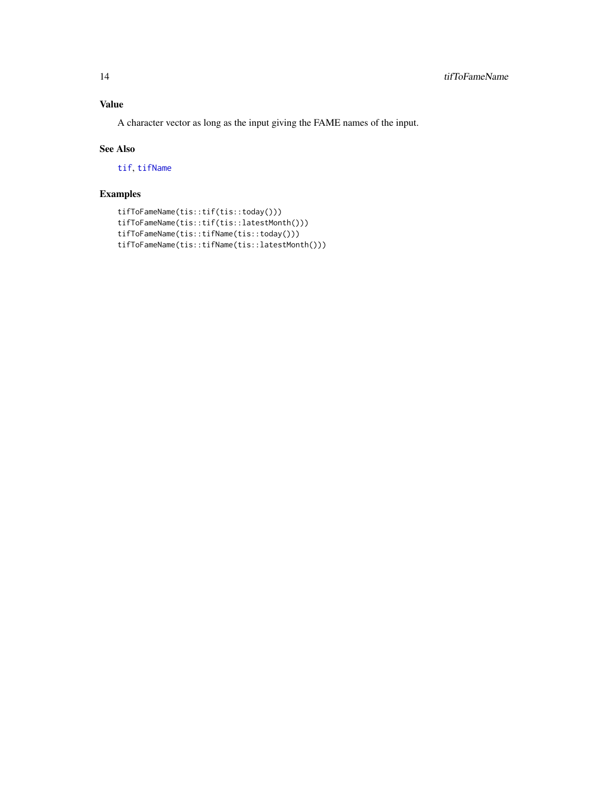# <span id="page-13-0"></span>Value

A character vector as long as the input giving the FAME names of the input.

# See Also

[tif](#page-0-0), [tifName](#page-0-0)

# Examples

```
tifToFameName(tis::tif(tis::today()))
tifToFameName(tis::tif(tis::latestMonth()))
tifToFameName(tis::tifName(tis::today()))
tifToFameName(tis::tifName(tis::latestMonth()))
```